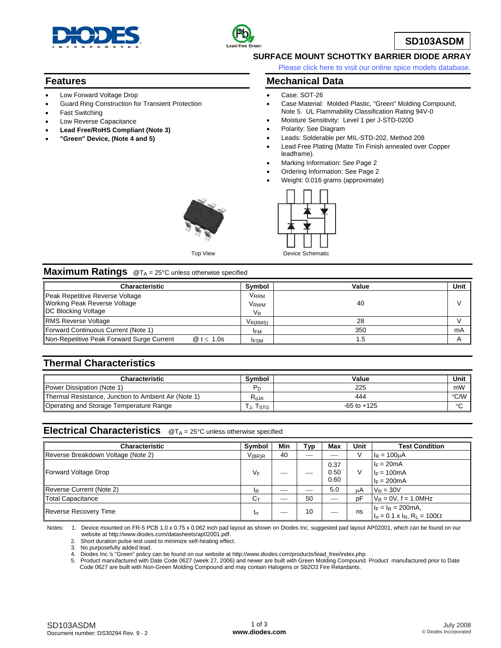



# **SD103ASDM**

### **SURFACE MOUNT SCHOTTKY BARRIER DIODE ARRAY**

[Please click here to visit our online spice models database.](http://www.diodes.com/products/spicemodels/index.php)

### **Features**

- Low Forward Voltage Drop
- Guard Ring Construction for Transient Protection
- **Fast Switching**
- Low Reverse Capacitance
- **Lead Free/RoHS Compliant (Note 3)**
- **"Green" Device, (Note 4 and 5)**

# **Mechanical Data**

- Case: SOT-26
- Case Material: Molded Plastic, "Green" Molding Compound, Note 5. UL Flammability Classification Rating 94V-0
- Moisture Sensitivity: Level 1 per J-STD-020D
- Polarity: See Diagram
- Leads: Solderable per MIL-STD-202, Method 208
- Lead Free Plating (Matte Tin Finish annealed over Copper leadframe).
- Marking Information: See Page 2
- Ordering Information: See Page 2
- Weight: 0.016 grams (approximate)





### **Maximum Ratings** @T<sub>A</sub> = 25°C unless otherwise specified

| <b>Characteristic</b>                                                                                |                                  | Symbol                                                                        | Value | Unit |
|------------------------------------------------------------------------------------------------------|----------------------------------|-------------------------------------------------------------------------------|-------|------|
| Peak Repetitive Reverse Voltage<br><b>Working Peak Reverse Voltage</b><br><b>DC Blocking Voltage</b> |                                  | <b>V</b> <sub>RRM</sub><br><b>V</b> <sub>RWM</sub><br>$\mathsf{V}_\mathsf{R}$ | 40    |      |
| <b>RMS Reverse Voltage</b>                                                                           |                                  | $V_{R(RMS)}$                                                                  | 28    |      |
| Forward Continuous Current (Note 1)                                                                  |                                  | <b>IFM</b>                                                                    | 350   | mA   |
| Non-Repetitive Peak Forward Surge Current                                                            | $\textcircled{a}$ t $\leq 1.0$ s | <b>IFSM</b>                                                                   |       |      |

# **Thermal Characteristics**

| Characteristic                                       | <b>Symbol</b>  | Value           | Unit                       |
|------------------------------------------------------|----------------|-----------------|----------------------------|
| Power Dissipation (Note 1)                           |                | 225             | mW                         |
| Thermal Resistance, Junction to Ambient Air (Note 1) | $R_{\theta$ JA | 444             | $^{\circ}$ C/W $\parallel$ |
| Operating and Storage Temperature Range              | I STG          | $-65$ to $+125$ | $\circ$                    |

# **Electrical Characteristics** @T<sub>A</sub> = 25°C unless otherwise specified

| <b>Characteristic</b>              | Symbol               | Min | Typ | Max  | <b>Unit</b> | <b>Test Condition</b>                                                         |
|------------------------------------|----------------------|-----|-----|------|-------------|-------------------------------------------------------------------------------|
| Reverse Breakdown Voltage (Note 2) | $V_{(\mathsf{BR})R}$ | 40  |     |      | $\sqrt{}$   | $I_R = 100 \mu A$                                                             |
|                                    |                      |     |     | 0.37 |             | $I_F = 20mA$                                                                  |
| Forward Voltage Drop               | VF                   |     |     | 0.50 | V           | $I_F = 100mA$                                                                 |
|                                    |                      |     |     | 0.60 |             | $I_F = 200mA$                                                                 |
| Reverse Current (Note 2)           | ΙR                   | --  |     | 5.0  | μA          | $V_R = 30V$                                                                   |
| Total Capacitance                  | $C_{\text{T}}$       | __  | 50  |      | pF          | $V_R = 0V$ , f = 1.0MHz                                                       |
| Reverse Recovery Time              | trr                  |     | 10  |      | ns          |                                                                               |
|                                    |                      |     |     |      |             | $I_F = I_R = 200 \text{ mA},$<br>$I_{rr} = 0.1 \times I_R, R_L = 100 \Omega.$ |

Notes: 1. Device mounted on FR-5 PCB 1.0 x 0.75 x 0.062 inch pad layout as shown on Diodes Inc. suggested pad layout AP02001, which can be found on our website at http://www.diodes.com/datasheets/ap02001.pdf.

2. Short duration pulse test used to minimize self-heating effect.

3. No purposefully added lead.

4. Diodes Inc.'s "Green" policy can be found on our website at http://www.diodes.com/products/lead\_free/index.php.

 5. Product manufactured with Date Code 0627 (week 27, 2006) and newer are built with Green Molding Compound. Product manufactured prior to Date Code 0627 are built with Non-Green Molding Compound and may contain Halogens or Sb2O3 Fire Retardants.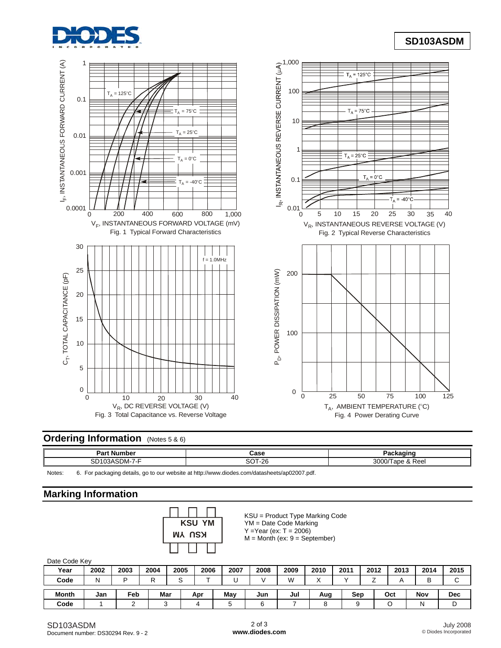

# **SD103ASDM**



# **Ordering Information** (Notes 5 & 6)

| Part Number<br>mpe                                             | "<br>cası                                  |                             |
|----------------------------------------------------------------|--------------------------------------------|-----------------------------|
| $\overline{\phantom{a}}$<br>nn.<br>^`<br>JM-<br>. .<br><br>ىات | $\sim$ $\sim$ $\sim$<br>$\Omega$<br>`<br>້ | 3000<br>Ree<br>$\mathbf{x}$ |

Notes: 6. For packaging details, go to our website at <http://www.diodes.com/datasheets/ap02007.pdf>.

# **Marking Information**



KSU = Product Type Marking Code YM = Date Code Marking  $Y = Year (ex: T = 2006)$  $M =$  Month (ex:  $9 =$  September)

#### Date Code Key

| Year         | 2002 | 2003 | 2004 | 2005 | 2006 | 2007 | 2008 | 2009 | 2010 | 2011 | 2012 | 2013 | 2014 | 2015       |
|--------------|------|------|------|------|------|------|------|------|------|------|------|------|------|------------|
| Code         | N    |      |      |      | -    |      |      | M    |      |      |      |      |      | ⌒<br>ັ     |
| <b>Month</b> | Jan  | Feb  | Mar  |      | Apr  | May  | Jun  | Jul  | Aug  | Sep  |      | Oct  | Nov  | <b>Dec</b> |
| Code         |      |      |      |      |      |      |      |      |      |      |      |      | N    |            |